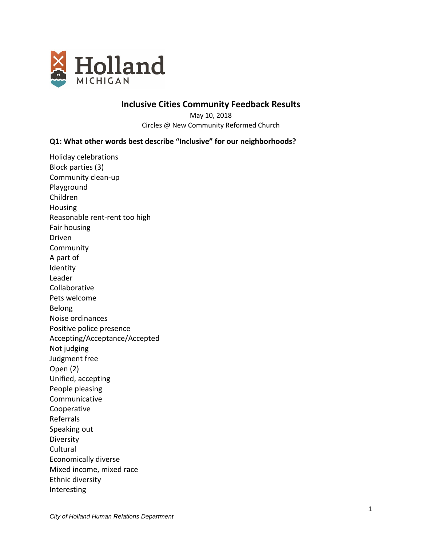

# **Inclusive Cities Community Feedback Results**

May 10, 2018 Circles @ New Community Reformed Church

## **Q1: What other words best describe "Inclusive" for our neighborhoods?**

Holiday celebrations Block parties (3) Community clean-up Playground Children Housing Reasonable rent-rent too high Fair housing Driven **Community** A part of Identity Leader Collaborative Pets welcome Belong Noise ordinances Positive police presence Accepting/Acceptance/Accepted Not judging Judgment free Open (2) Unified, accepting People pleasing Communicative Cooperative Referrals Speaking out **Diversity Cultural** Economically diverse Mixed income, mixed race Ethnic diversity Interesting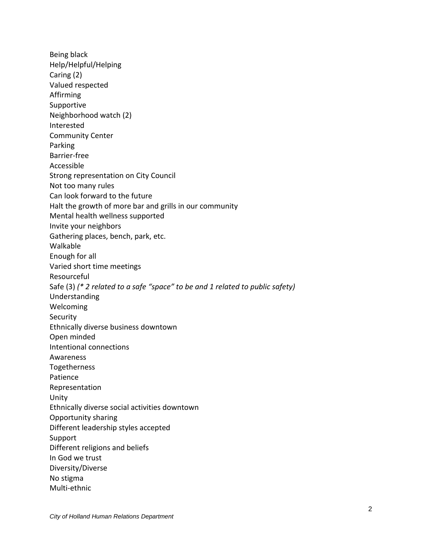Being black Help/Helpful/Helping Caring (2) Valued respected Affirming Supportive Neighborhood watch (2) Interested Community Center Parking Barrier-free Accessible Strong representation on City Council Not too many rules Can look forward to the future Halt the growth of more bar and grills in our community Mental health wellness supported Invite your neighbors Gathering places, bench, park, etc. Walkable Enough for all Varied short time meetings Resourceful Safe (3) *(\* 2 related to a safe "space" to be and 1 related to public safety)* Understanding Welcoming **Security** Ethnically diverse business downtown Open minded Intentional connections Awareness Togetherness Patience Representation Unity Ethnically diverse social activities downtown Opportunity sharing Different leadership styles accepted Support Different religions and beliefs In God we trust Diversity/Diverse No stigma Multi-ethnic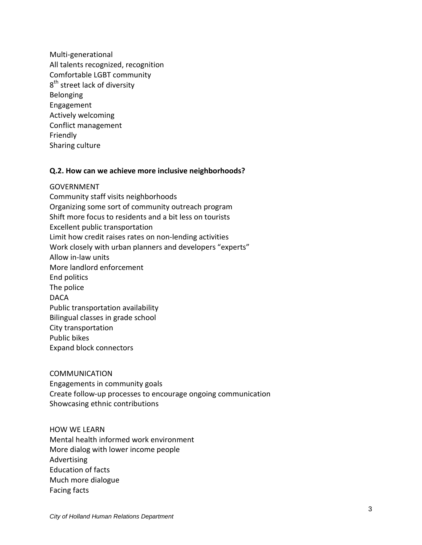Multi-generational All talents recognized, recognition Comfortable LGBT community 8<sup>th</sup> street lack of diversity Belonging Engagement Actively welcoming Conflict management Friendly Sharing culture

#### **Q.2. How can we achieve more inclusive neighborhoods?**

GOVERNMENT Community staff visits neighborhoods Organizing some sort of community outreach program Shift more focus to residents and a bit less on tourists Excellent public transportation Limit how credit raises rates on non-lending activities Work closely with urban planners and developers "experts" Allow in-law units More landlord enforcement End politics The police **DACA** Public transportation availability Bilingual classes in grade school City transportation Public bikes Expand block connectors

COMMUNICATION Engagements in community goals Create follow-up processes to encourage ongoing communication Showcasing ethnic contributions

HOW WE LEARN Mental health informed work environment More dialog with lower income people Advertising Education of facts Much more dialogue Facing facts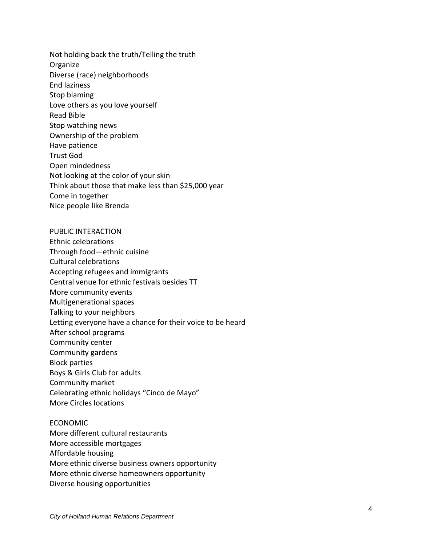Not holding back the truth/Telling the truth Organize Diverse (race) neighborhoods End laziness Stop blaming Love others as you love yourself Read Bible Stop watching news Ownership of the problem Have patience Trust God Open mindedness Not looking at the color of your skin Think about those that make less than \$25,000 year Come in together Nice people like Brenda

PUBLIC INTERACTION Ethnic celebrations

Through food—ethnic cuisine

Cultural celebrations

Accepting refugees and immigrants

Central venue for ethnic festivals besides TT

More community events

Multigenerational spaces Talking to your neighbors

Letting everyone have a chance for their voice to be heard

After school programs

Community center

Community gardens

Block parties

Boys & Girls Club for adults

Community market

Celebrating ethnic holidays "Cinco de Mayo"

More Circles locations

ECONOMIC

More different cultural restaurants More accessible mortgages

Affordable housing

More ethnic diverse business owners opportunity

More ethnic diverse homeowners opportunity

Diverse housing opportunities